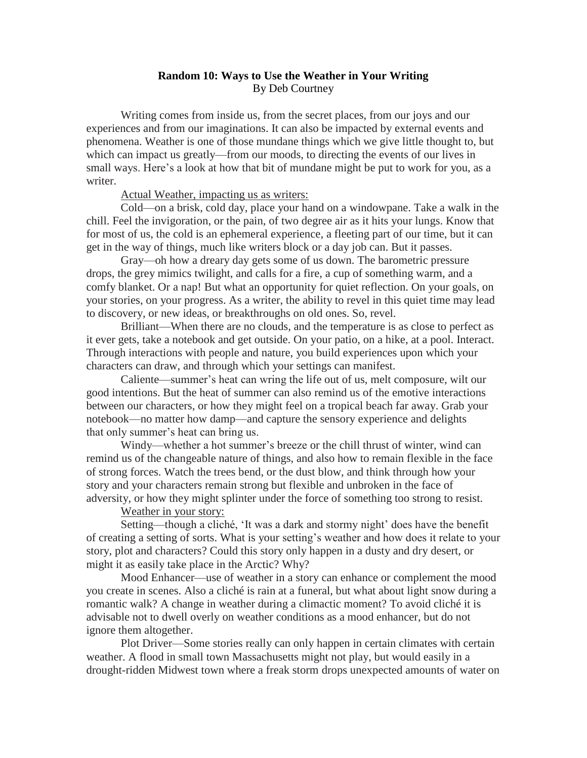## **Random 10: Ways to Use the Weather in Your Writing** By Deb Courtney

Writing comes from inside us, from the secret places, from our joys and our experiences and from our imaginations. It can also be impacted by external events and phenomena. Weather is one of those mundane things which we give little thought to, but which can impact us greatly—from our moods, to directing the events of our lives in small ways. Here's a look at how that bit of mundane might be put to work for you, as a writer.

## Actual Weather, impacting us as writers:

Cold—on a brisk, cold day, place your hand on a windowpane. Take a walk in the chill. Feel the invigoration, or the pain, of two degree air as it hits your lungs. Know that for most of us, the cold is an ephemeral experience, a fleeting part of our time, but it can get in the way of things, much like writers block or a day job can. But it passes.

Gray—oh how a dreary day gets some of us down. The barometric pressure drops, the grey mimics twilight, and calls for a fire, a cup of something warm, and a comfy blanket. Or a nap! But what an opportunity for quiet reflection. On your goals, on your stories, on your progress. As a writer, the ability to revel in this quiet time may lead to discovery, or new ideas, or breakthroughs on old ones. So, revel.

Brilliant—When there are no clouds, and the temperature is as close to perfect as it ever gets, take a notebook and get outside. On your patio, on a hike, at a pool. Interact. Through interactions with people and nature, you build experiences upon which your characters can draw, and through which your settings can manifest.

Caliente—summer's heat can wring the life out of us, melt composure, wilt our good intentions. But the heat of summer can also remind us of the emotive interactions between our characters, or how they might feel on a tropical beach far away. Grab your notebook—no matter how damp—and capture the sensory experience and delights that only summer's heat can bring us.

Windy—whether a hot summer's breeze or the chill thrust of winter, wind can remind us of the changeable nature of things, and also how to remain flexible in the face of strong forces. Watch the trees bend, or the dust blow, and think through how your story and your characters remain strong but flexible and unbroken in the face of adversity, or how they might splinter under the force of something too strong to resist.

Weather in your story:

Setting—though a cliché, 'It was a dark and stormy night' does have the benefit of creating a setting of sorts. What is your setting's weather and how does it relate to your story, plot and characters? Could this story only happen in a dusty and dry desert, or might it as easily take place in the Arctic? Why?

Mood Enhancer—use of weather in a story can enhance or complement the mood you create in scenes. Also a cliché is rain at a funeral, but what about light snow during a romantic walk? A change in weather during a climactic moment? To avoid cliché it is advisable not to dwell overly on weather conditions as a mood enhancer, but do not ignore them altogether.

Plot Driver—Some stories really can only happen in certain climates with certain weather. A flood in small town Massachusetts might not play, but would easily in a drought-ridden Midwest town where a freak storm drops unexpected amounts of water on